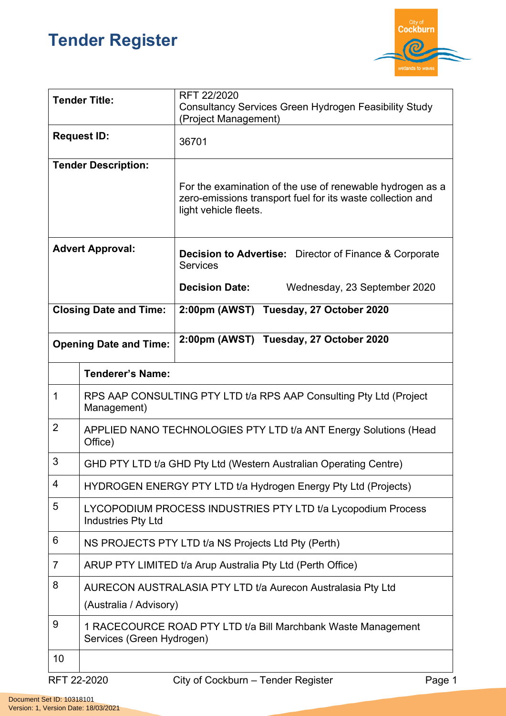## **Tender Register**



| <b>Tender Title:</b>          |                                                                                            | RFT 22/2020<br><b>Consultancy Services Green Hydrogen Feasibility Study</b><br>(Project Management)                                              |  |
|-------------------------------|--------------------------------------------------------------------------------------------|--------------------------------------------------------------------------------------------------------------------------------------------------|--|
| <b>Request ID:</b>            |                                                                                            | 36701                                                                                                                                            |  |
| <b>Tender Description:</b>    |                                                                                            | For the examination of the use of renewable hydrogen as a<br>zero-emissions transport fuel for its waste collection and<br>light vehicle fleets. |  |
| <b>Advert Approval:</b>       |                                                                                            | <b>Decision to Advertise:</b> Director of Finance & Corporate<br><b>Services</b>                                                                 |  |
|                               |                                                                                            | <b>Decision Date:</b><br>Wednesday, 23 September 2020                                                                                            |  |
| <b>Closing Date and Time:</b> |                                                                                            | 2:00pm (AWST) Tuesday, 27 October 2020                                                                                                           |  |
| <b>Opening Date and Time:</b> |                                                                                            | 2:00pm (AWST) Tuesday, 27 October 2020                                                                                                           |  |
|                               | <b>Tenderer's Name:</b>                                                                    |                                                                                                                                                  |  |
| 1                             | RPS AAP CONSULTING PTY LTD t/a RPS AAP Consulting Pty Ltd (Project<br>Management)          |                                                                                                                                                  |  |
| $\overline{2}$                | APPLIED NANO TECHNOLOGIES PTY LTD t/a ANT Energy Solutions (Head<br>Office)                |                                                                                                                                                  |  |
| 3                             | GHD PTY LTD t/a GHD Pty Ltd (Western Australian Operating Centre)                          |                                                                                                                                                  |  |
| 4                             | HYDROGEN ENERGY PTY LTD t/a Hydrogen Energy Pty Ltd (Projects)                             |                                                                                                                                                  |  |
| 5                             | LYCOPODIUM PROCESS INDUSTRIES PTY LTD t/a Lycopodium Process<br><b>Industries Pty Ltd</b>  |                                                                                                                                                  |  |
| 6                             | NS PROJECTS PTY LTD t/a NS Projects Ltd Pty (Perth)                                        |                                                                                                                                                  |  |
| $\overline{7}$                | ARUP PTY LIMITED t/a Arup Australia Pty Ltd (Perth Office)                                 |                                                                                                                                                  |  |
| 8                             | AURECON AUSTRALASIA PTY LTD t/a Aurecon Australasia Pty Ltd<br>(Australia / Advisory)      |                                                                                                                                                  |  |
| 9                             | 1 RACECOURCE ROAD PTY LTD t/a Bill Marchbank Waste Management<br>Services (Green Hydrogen) |                                                                                                                                                  |  |
| 10                            |                                                                                            |                                                                                                                                                  |  |